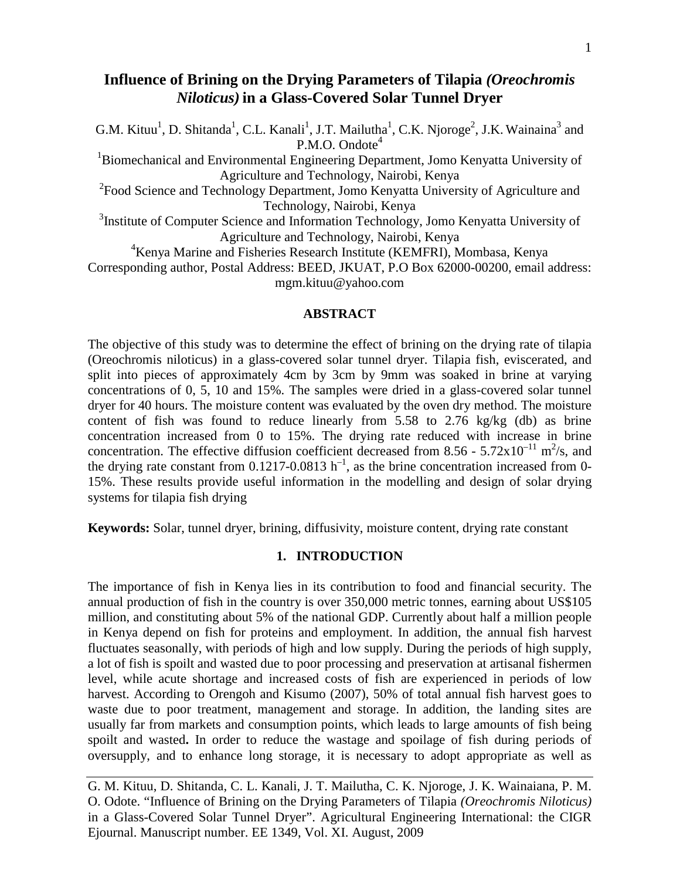# **Influence of Brining on the Drying Parameters of Tilapia** *(Oreochromis Niloticus)* **in a Glass-Covered Solar Tunnel Dryer**

G.M. Kituu<sup>1</sup>, D. Shitanda<sup>1</sup>, C.L. Kanali<sup>1</sup>, J.T. Mailutha<sup>1</sup>, C.K. Njoroge<sup>2</sup>, J.K. Wainaina<sup>3</sup> and P.M.O. Ondote<sup>4</sup>

<sup>1</sup>Biomechanical and Environmental Engineering Department, Jomo Kenyatta University of Agriculture and Technology, Nairobi, Kenya

<sup>2</sup> Food Science and Technology Department, Jomo Kenyatta University of Agriculture and Technology, Nairobi, Kenya

<sup>3</sup>Institute of Computer Science and Information Technology, Jomo Kenyatta University of Agriculture and Technology, Nairobi, Kenya

4 Kenya Marine and Fisheries Research Institute (KEMFRI), Mombasa, Kenya

Corresponding author, Postal Address: BEED, JKUAT, P.O Box 62000-00200, email address: mgm.kituu@yahoo.com

### **ABSTRACT**

The objective of this study was to determine the effect of brining on the drying rate of tilapia (Oreochromis niloticus) in a glass-covered solar tunnel dryer. Tilapia fish, eviscerated, and split into pieces of approximately 4cm by 3cm by 9mm was soaked in brine at varying concentrations of 0, 5, 10 and 15%. The samples were dried in a glass-covered solar tunnel dryer for 40 hours. The moisture content was evaluated by the oven dry method. The moisture content of fish was found to reduce linearly from 5.58 to 2.76 kg/kg (db) as brine concentration increased from 0 to 15%. The drying rate reduced with increase in brine concentration. The effective diffusion coefficient decreased from 8.56 -  $5.72 \times 10^{-11}$  m<sup>2</sup>/s, and the drying rate constant from 0.1217-0.0813  $h^{-1}$ , as the brine concentration increased from 0-15%. These results provide useful information in the modelling and design of solar drying systems for tilapia fish drying

**Keywords:** Solar, tunnel dryer, brining, diffusivity, moisture content, drying rate constant

## **1. INTRODUCTION**

The importance of fish in Kenya lies in its contribution to food and financial security. The annual production of fish in the country is over 350,000 metric tonnes, earning about US\$105 million, and constituting about 5% of the national GDP. Currently about half a million people in Kenya depend on fish for proteins and employment. In addition, the annual fish harvest fluctuates seasonally, with periods of high and low supply. During the periods of high supply, a lot of fish is spoilt and wasted due to poor processing and preservation at artisanal fishermen level, while acute shortage and increased costs of fish are experienced in periods of low harvest. According to Orengoh and Kisumo (2007), 50% of total annual fish harvest goes to waste due to poor treatment, management and storage. In addition, the landing sites are usually far from markets and consumption points, which leads to large amounts of fish being spoilt and wasted**.** In order to reduce the wastage and spoilage of fish during periods of oversupply, and to enhance long storage, it is necessary to adopt appropriate as well as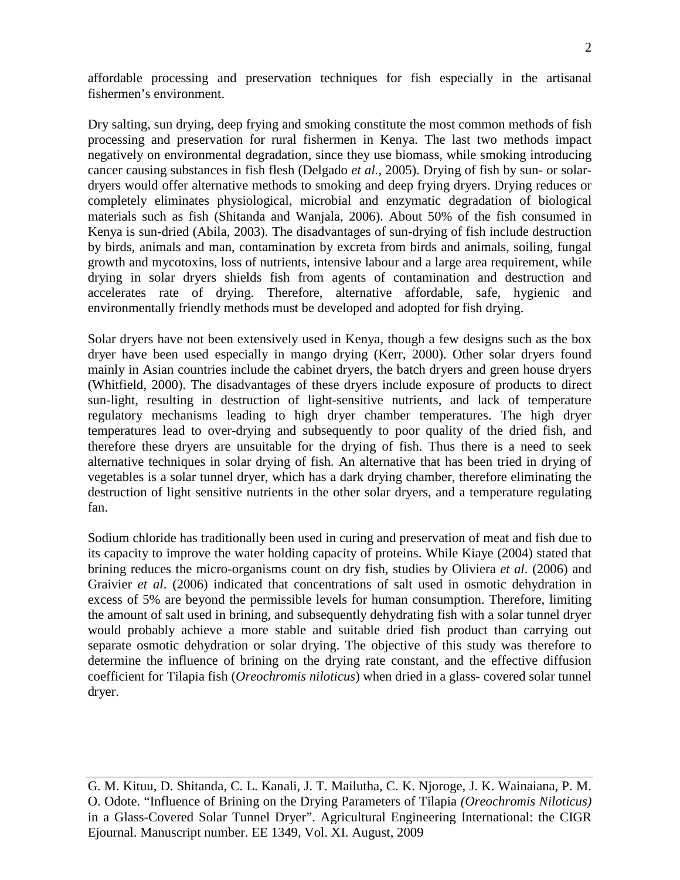affordable processing and preservation techniques for fish especially in the artisanal fishermen's environment.

Dry salting, sun drying, deep frying and smoking constitute the most common methods of fish processing and preservation for rural fishermen in Kenya. The last two methods impact negatively on environmental degradation, since they use biomass, while smoking introducing cancer causing substances in fish flesh (Delgado *et al.,* 2005). Drying of fish by sun- or solardryers would offer alternative methods to smoking and deep frying dryers. Drying reduces or completely eliminates physiological, microbial and enzymatic degradation of biological materials such as fish (Shitanda and Wanjala, 2006). About 50% of the fish consumed in Kenya is sun-dried (Abila, 2003). The disadvantages of sun-drying of fish include destruction by birds, animals and man, contamination by excreta from birds and animals, soiling, fungal growth and mycotoxins, loss of nutrients, intensive labour and a large area requirement, while drying in solar dryers shields fish from agents of contamination and destruction and accelerates rate of drying. Therefore, alternative affordable, safe, hygienic and environmentally friendly methods must be developed and adopted for fish drying.

Solar dryers have not been extensively used in Kenya, though a few designs such as the box dryer have been used especially in mango drying (Kerr, 2000). Other solar dryers found mainly in Asian countries include the cabinet dryers, the batch dryers and green house dryers (Whitfield, 2000). The disadvantages of these dryers include exposure of products to direct sun-light, resulting in destruction of light-sensitive nutrients, and lack of temperature regulatory mechanisms leading to high dryer chamber temperatures. The high dryer temperatures lead to over-drying and subsequently to poor quality of the dried fish, and therefore these dryers are unsuitable for the drying of fish. Thus there is a need to seek alternative techniques in solar drying of fish. An alternative that has been tried in drying of vegetables is a solar tunnel dryer, which has a dark drying chamber, therefore eliminating the destruction of light sensitive nutrients in the other solar dryers, and a temperature regulating fan.

Sodium chloride has traditionally been used in curing and preservation of meat and fish due to its capacity to improve the water holding capacity of proteins. While Kiaye (2004) stated that brining reduces the micro-organisms count on dry fish, studies by Oliviera *et al*. (2006) and Graivier *et al*. (2006) indicated that concentrations of salt used in osmotic dehydration in excess of 5% are beyond the permissible levels for human consumption. Therefore, limiting the amount of salt used in brining, and subsequently dehydrating fish with a solar tunnel dryer would probably achieve a more stable and suitable dried fish product than carrying out separate osmotic dehydration or solar drying. The objective of this study was therefore to determine the influence of brining on the drying rate constant, and the effective diffusion coefficient for Tilapia fish (*Oreochromis niloticus*) when dried in a glass- covered solar tunnel dryer.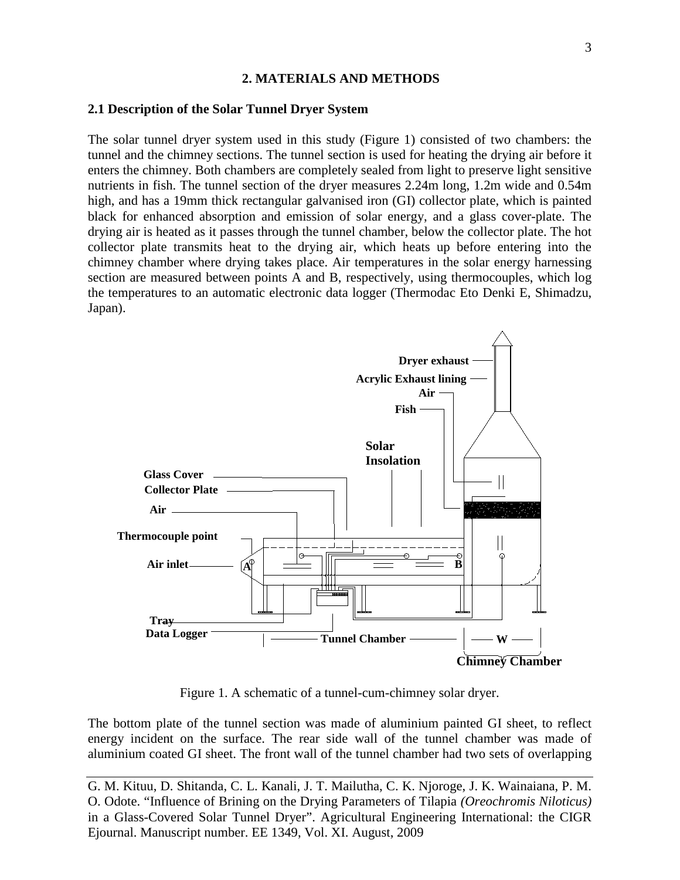### **2. MATERIALS AND METHODS**

#### **2.1 Description of the Solar Tunnel Dryer System**

The solar tunnel dryer system used in this study (Figure 1) consisted of two chambers: the tunnel and the chimney sections. The tunnel section is used for heating the drying air before it enters the chimney. Both chambers are completely sealed from light to preserve light sensitive nutrients in fish. The tunnel section of the dryer measures 2.24m long, 1.2m wide and 0.54m high, and has a 19mm thick rectangular galvanised iron (GI) collector plate, which is painted black for enhanced absorption and emission of solar energy, and a glass cover-plate. The drying air is heated as it passes through the tunnel chamber, below the collector plate. The hot collector plate transmits heat to the drying air, which heats up before entering into the chimney chamber where drying takes place. Air temperatures in the solar energy harnessing section are measured between points A and B, respectively, using thermocouples, which log the temperatures to an automatic electronic data logger (Thermodac Eto Denki E, Shimadzu, Japan).



Figure 1. A schematic of a tunnel-cum-chimney solar dryer.

The bottom plate of the tunnel section was made of aluminium painted GI sheet, to reflect energy incident on the surface. The rear side wall of the tunnel chamber was made of aluminium coated GI sheet. The front wall of the tunnel chamber had two sets of overlapping

G. M. Kituu, D. Shitanda, C. L. Kanali, J. T. Mailutha, C. K. Njoroge, J. K. Wainaiana, P. M. O. Odote. "Influence of Brining on the Drying Parameters of Tilapia *(Oreochromis Niloticus)* in a Glass-Covered Solar Tunnel Dryer". Agricultural Engineering International: the CIGR Ejournal. Manuscript number. EE 1349, Vol. XI. August, 2009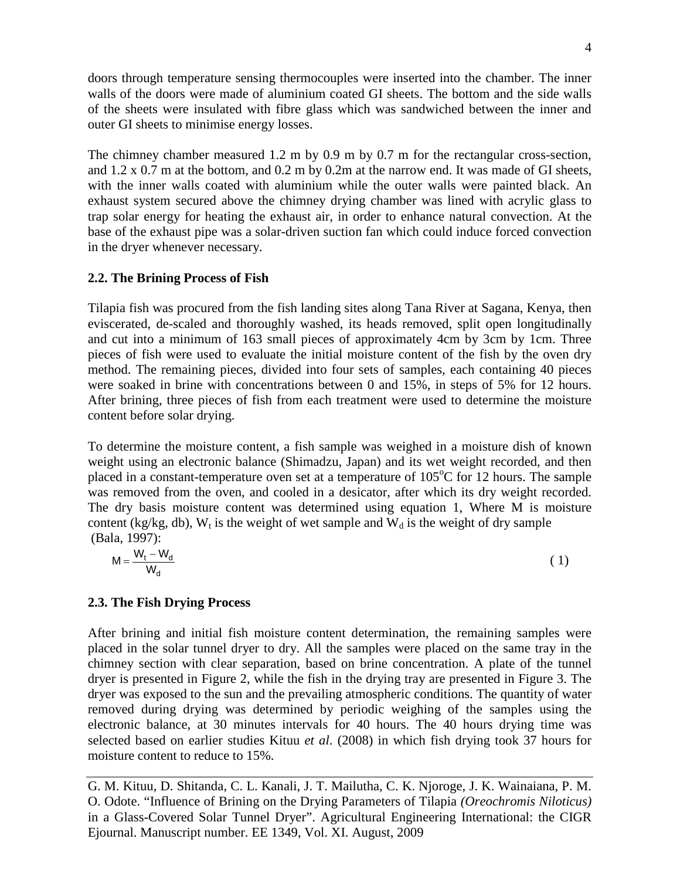doors through temperature sensing thermocouples were inserted into the chamber. The inner walls of the doors were made of aluminium coated GI sheets. The bottom and the side walls of the sheets were insulated with fibre glass which was sandwiched between the inner and outer GI sheets to minimise energy losses.

The chimney chamber measured 1.2 m by 0.9 m by 0.7 m for the rectangular cross-section, and 1.2 x 0.7 m at the bottom, and 0.2 m by 0.2m at the narrow end. It was made of GI sheets, with the inner walls coated with aluminium while the outer walls were painted black. An exhaust system secured above the chimney drying chamber was lined with acrylic glass to trap solar energy for heating the exhaust air, in order to enhance natural convection. At the base of the exhaust pipe was a solar-driven suction fan which could induce forced convection in the dryer whenever necessary.

# **2.2. The Brining Process of Fish**

Tilapia fish was procured from the fish landing sites along Tana River at Sagana, Kenya, then eviscerated, de-scaled and thoroughly washed, its heads removed, split open longitudinally and cut into a minimum of 163 small pieces of approximately 4cm by 3cm by 1cm. Three pieces of fish were used to evaluate the initial moisture content of the fish by the oven dry method. The remaining pieces, divided into four sets of samples, each containing 40 pieces were soaked in brine with concentrations between 0 and 15%, in steps of 5% for 12 hours. After brining, three pieces of fish from each treatment were used to determine the moisture content before solar drying.

To determine the moisture content, a fish sample was weighed in a moisture dish of known weight using an electronic balance (Shimadzu, Japan) and its wet weight recorded, and then placed in a constant-temperature oven set at a temperature of  $105^{\circ}$ C for 12 hours. The sample was removed from the oven, and cooled in a desicator, after which its dry weight recorded. The dry basis moisture content was determined using equation 1, Where M is moisture content (kg/kg, db),  $W_t$  is the weight of wet sample and  $W_d$  is the weight of dry sample (Bala, 1997):

$$
M = \frac{W_t - W_d}{W_d} \tag{1}
$$

## **2.3. The Fish Drying Process**

After brining and initial fish moisture content determination, the remaining samples were placed in the solar tunnel dryer to dry. All the samples were placed on the same tray in the chimney section with clear separation, based on brine concentration. A plate of the tunnel dryer is presented in Figure 2, while the fish in the drying tray are presented in Figure 3. The dryer was exposed to the sun and the prevailing atmospheric conditions. The quantity of water removed during drying was determined by periodic weighing of the samples using the electronic balance, at 30 minutes intervals for 40 hours. The 40 hours drying time was selected based on earlier studies Kituu *et al*. (2008) in which fish drying took 37 hours for moisture content to reduce to 15%.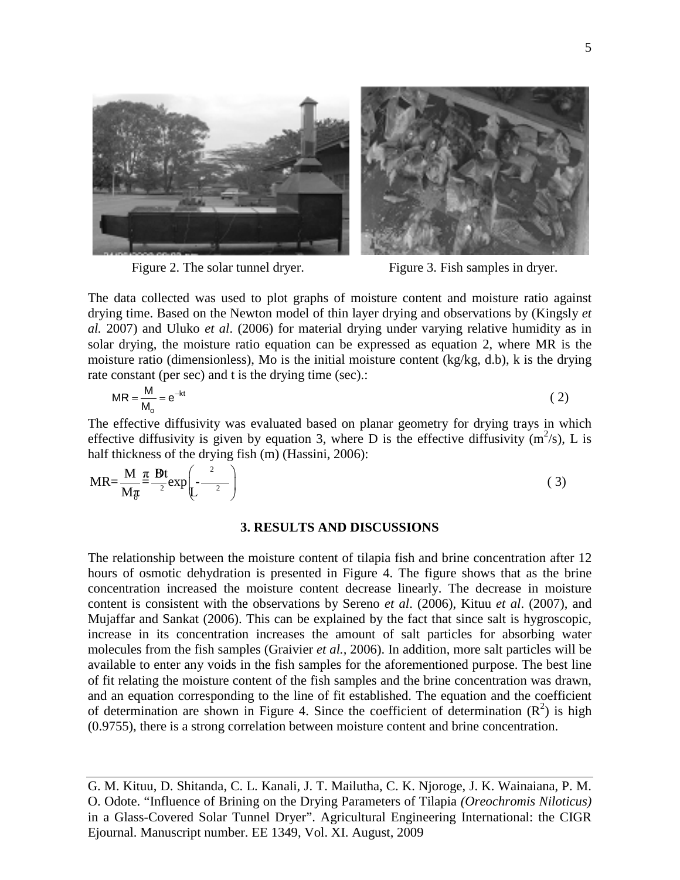

Figure 2. The solar tunnel dryer. Figure 3. Fish samples in dryer.

The data collected was used to plot graphs of moisture content and moisture ratio against drying time. Based on the Newton model of thin layer drying and observations by (Kingsly *et al.* 2007) and Uluko *et al*. (2006) for material drying under varying relative humidity as in solar drying, the moisture ratio equation can be expressed as equation 2, where MR is the moisture ratio (dimensionless), Mo is the initial moisture content (kg/kg, d.b), k is the drying rate constant (per sec) and t is the drying time (sec).:

$$
MR = \frac{M}{M_o} = e^{-kt}
$$
 (2)

The effective diffusivity was evaluated based on planar geometry for drying trays in which effective diffusivity is given by equation 3, where D is the effective diffusivity  $(m^2/s)$ , L is half thickness of the drying fish (m) (Hassini, 2006):

$$
MR = \frac{M}{M\pi} \frac{\pi}{2} \frac{Bt}{2} exp\left(-\frac{2}{2}\right)
$$
 (3)

#### **3. RESULTS AND DISCUSSIONS**

The relationship between the moisture content of tilapia fish and brine concentration after 12 hours of osmotic dehydration is presented in Figure 4. The figure shows that as the brine concentration increased the moisture content decrease linearly. The decrease in moisture content is consistent with the observations by Sereno *et al*. (2006), Kituu *et al*. (2007), and Mujaffar and Sankat (2006). This can be explained by the fact that since salt is hygroscopic, increase in its concentration increases the amount of salt particles for absorbing water molecules from the fish samples (Graivier *et al.,* 2006). In addition, more salt particles will be available to enter any voids in the fish samples for the aforementioned purpose. The best line of fit relating the moisture content of the fish samples and the brine concentration was drawn, and an equation corresponding to the line of fit established. The equation and the coefficient of determination are shown in Figure 4. Since the coefficient of determination  $(R^2)$  is high (0.9755), there is a strong correlation between moisture content and brine concentration.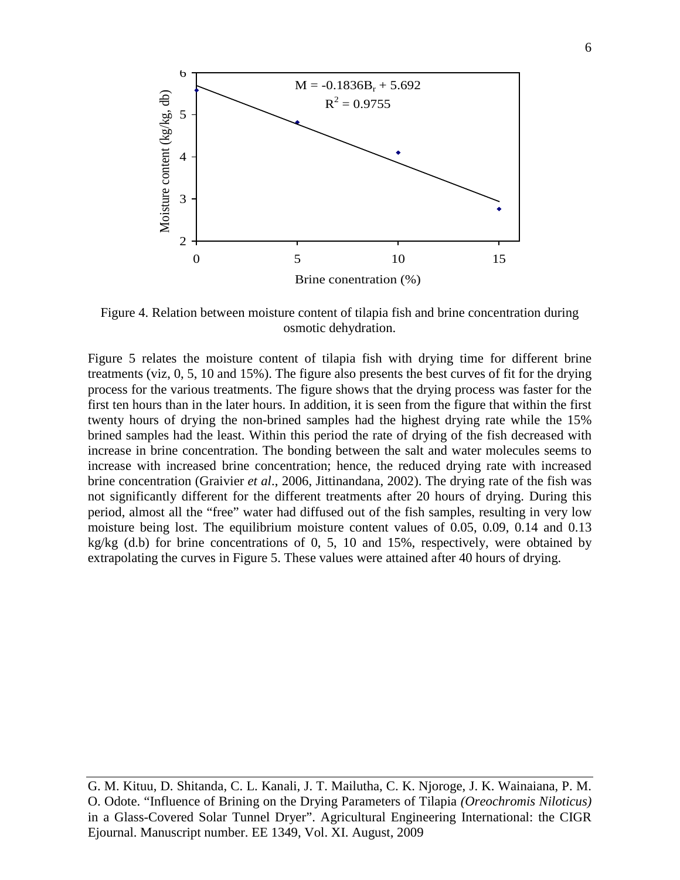

Figure 4. Relation between moisture content of tilapia fish and brine concentration during osmotic dehydration.

Figure 5 relates the moisture content of tilapia fish with drying time for different brine treatments (viz, 0, 5, 10 and 15%). The figure also presents the best curves of fit for the drying process for the various treatments. The figure shows that the drying process was faster for the first ten hours than in the later hours. In addition, it is seen from the figure that within the first twenty hours of drying the non-brined samples had the highest drying rate while the 15% brined samples had the least. Within this period the rate of drying of the fish decreased with increase in brine concentration. The bonding between the salt and water molecules seems to increase with increased brine concentration; hence, the reduced drying rate with increased brine concentration (Graivier *et al*., 2006, Jittinandana, 2002). The drying rate of the fish was not significantly different for the different treatments after 20 hours of drying. During this period, almost all the "free" water had diffused out of the fish samples, resulting in very low moisture being lost. The equilibrium moisture content values of 0.05, 0.09, 0.14 and 0.13 kg/kg (d.b) for brine concentrations of 0, 5, 10 and 15%, respectively, were obtained by extrapolating the curves in Figure 5. These values were attained after 40 hours of drying.

G. M. Kituu, D. Shitanda, C. L. Kanali, J. T. Mailutha, C. K. Njoroge, J. K. Wainaiana, P. M. O. Odote. "Influence of Brining on the Drying Parameters of Tilapia *(Oreochromis Niloticus)* in a Glass-Covered Solar Tunnel Dryer". Agricultural Engineering International: the CIGR Ejournal. Manuscript number. EE 1349, Vol. XI. August, 2009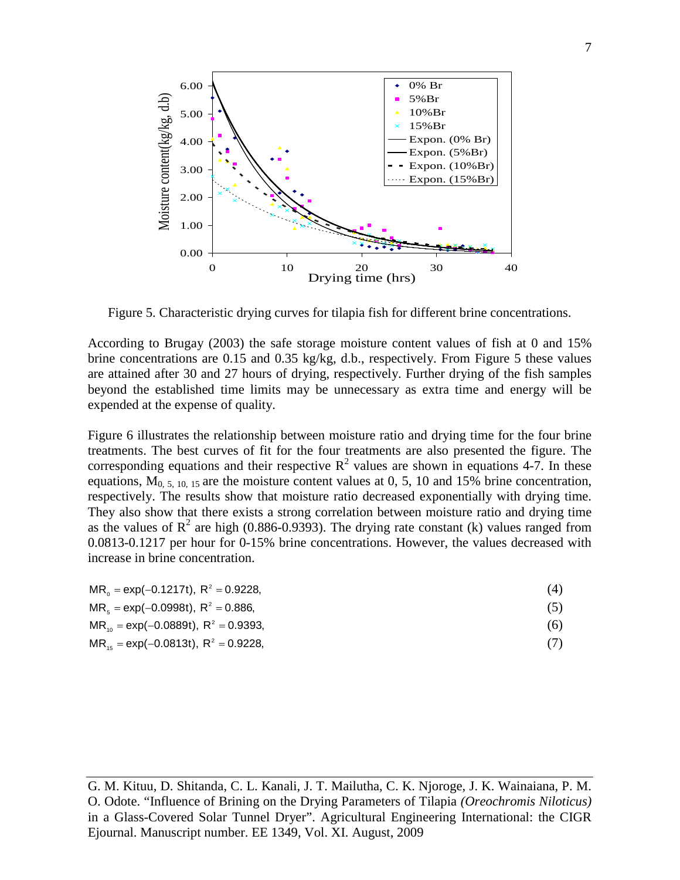

Figure 5. Characteristic drying curves for tilapia fish for different brine concentrations.

According to Brugay (2003) the safe storage moisture content values of fish at 0 and 15% brine concentrations are 0.15 and 0.35 kg/kg, d.b., respectively. From Figure 5 these values are attained after 30 and 27 hours of drying, respectively. Further drying of the fish samples beyond the established time limits may be unnecessary as extra time and energy will be expended at the expense of quality.

Figure 6 illustrates the relationship between moisture ratio and drying time for the four brine treatments. The best curves of fit for the four treatments are also presented the figure. The corresponding equations and their respective  $\mathbb{R}^2$  values are shown in equations 4-7. In these equations,  $M<sub>0, 5, 10, 15</sub>$  are the moisture content values at 0, 5, 10 and 15% brine concentration, respectively. The results show that moisture ratio decreased exponentially with drying time. They also show that there exists a strong correlation between moisture ratio and drying time as the values of  $\mathbb{R}^2$  are high (0.886-0.9393). The drying rate constant (k) values ranged from 0.0813-0.1217 per hour for 0-15% brine concentrations. However, the values decreased with increase in brine concentration.

| $MR_0 = \exp(-0.1217t)$ , $R^2 = 0.9228$ , |  |
|--------------------------------------------|--|
|                                            |  |

- $MR_s = \exp(-0.0998t), R^2 = 0.886,$  (5)
- $MR_{10} = \exp(-0.0889t), R^2 = 0.9393,$  (6)
- $MR_{15} = \exp(-0.0813t), R^2 = 0.9228,$  (7)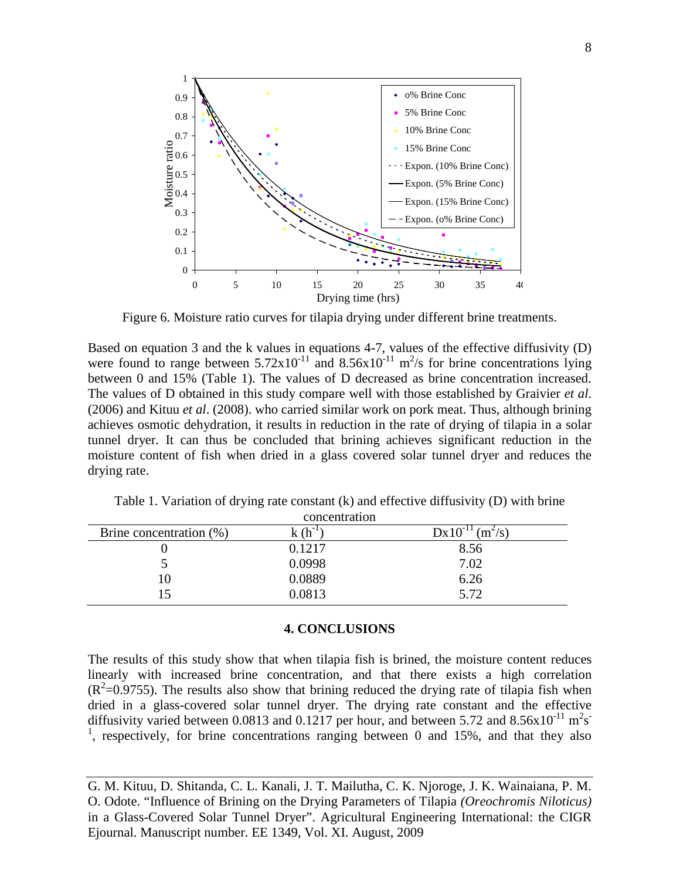

Figure 6. Moisture ratio curves for tilapia drying under different brine treatments.

Based on equation 3 and the k values in equations 4-7, values of the effective diffusivity (D) were found to range between  $5.72 \times 10^{-11}$  and  $8.56 \times 10^{-11}$  m<sup>2</sup>/s for brine concentrations lying between 0 and 15% (Table 1). The values of D decreased as brine concentration increased. The values of D obtained in this study compare well with those established by Graivier *et al*. (2006) and Kituu *et al*. (2008). who carried similar work on pork meat. Thus, although brining achieves osmotic dehydration, it results in reduction in the rate of drying of tilapia in a solar tunnel dryer. It can thus be concluded that brining achieves significant reduction in the moisture content of fish when dried in a glass covered solar tunnel dryer and reduces the drying rate.

| CONCENTRATION           |             |                                  |  |
|-------------------------|-------------|----------------------------------|--|
| Brine concentration (%) | $k(h^{-1})$ | $Dx10^{-11}$ (m <sup>2</sup> /s) |  |
|                         | 0.1217      | 8.56                             |  |
|                         | 0.0998      | 7.02                             |  |
| 0                       | 0.0889      | 6.26                             |  |
| 15                      | 0.0813      | 5.72                             |  |
|                         |             |                                  |  |

Table 1. Variation of drying rate constant (k) and effective diffusivity (D) with brine concentration

### **4. CONCLUSIONS**

The results of this study show that when tilapia fish is brined, the moisture content reduces linearly with increased brine concentration, and that there exists a high correlation  $(R^2=0.9755)$ . The results also show that brining reduced the drying rate of tilapia fish when dried in a glass-covered solar tunnel dryer. The drying rate constant and the effective diffusivity varied between 0.0813 and 0.1217 per hour, and between 5.72 and 8.56x10<sup>-11</sup> m<sup>2</sup>s<sup>-</sup> <sup>1</sup>, respectively, for brine concentrations ranging between 0 and 15%, and that they also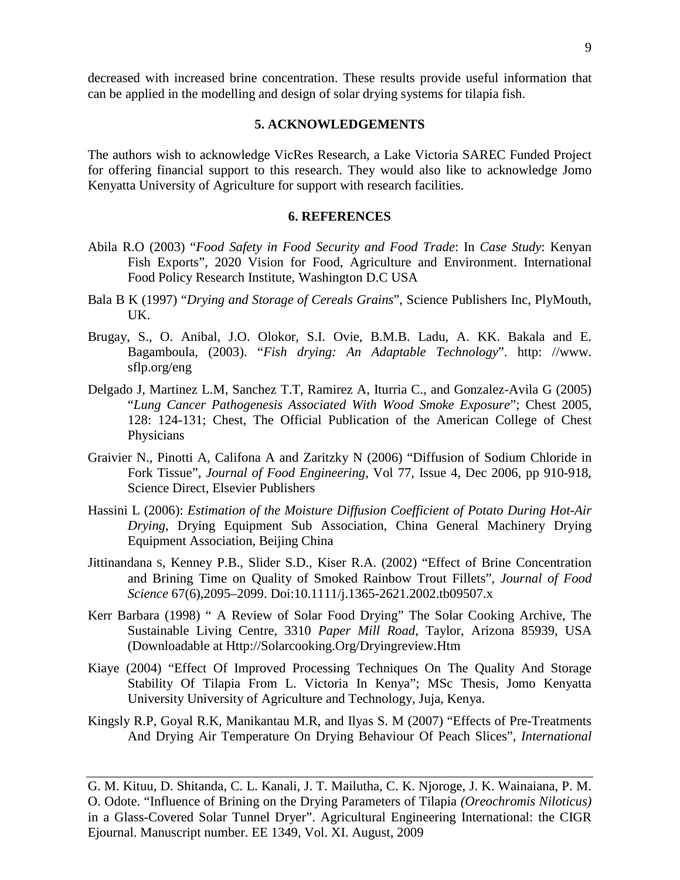decreased with increased brine concentration. These results provide useful information that can be applied in the modelling and design of solar drying systems for tilapia fish.

### **5. ACKNOWLEDGEMENTS**

The authors wish to acknowledge VicRes Research, a Lake Victoria SAREC Funded Project for offering financial support to this research. They would also like to acknowledge Jomo Kenyatta University of Agriculture for support with research facilities.

### **6. REFERENCES**

- Abila R.O (2003) "*Food Safety in Food Security and Food Trade*: In *Case Study*: Kenyan Fish Exports", 2020 Vision for Food, Agriculture and Environment. International Food Policy Research Institute, Washington D.C USA
- Bala B K (1997) "*Drying and Storage of Cereals Grains*", Science Publishers Inc, PlyMouth, UK.
- Brugay, S., O. Anibal, J.O. Olokor, S.I. Ovie, B.M.B. Ladu, A. KK. Bakala and E. Bagamboula, (2003). "*Fish drying: An Adaptable Technology*". http: //www. sflp.org/eng
- Delgado J, Martinez L.M, Sanchez T.T, Ramirez A, Iturria C., and Gonzalez-Avila G (2005) "*Lung Cancer Pathogenesis Associated With Wood Smoke Exposure*"; Chest 2005, 128: 124-131; Chest, The Official Publication of the American College of Chest Physicians
- Graivier N., Pinotti A, Califona A and Zaritzky N (2006) "Diffusion of Sodium Chloride in Fork Tissue", *Journal of Food Engineering*, Vol 77, Issue 4, Dec 2006, pp 910-918, Science Direct, Elsevier Publishers
- Hassini L (2006): *Estimation of the Moisture Diffusion Coefficient of Potato During Hot-Air Drying*, Drying Equipment Sub Association, China General Machinery Drying Equipment Association, Beijing China
- Jittinandana S, Kenney P.B., Slider S.D., Kiser R.A. (2002) "Effect of Brine Concentration and Brining Time on Quality of Smoked Rainbow Trout Fillets", *Journal of Food Science* 67(6),2095–2099. Doi:10.1111/j.1365-2621.2002.tb09507.x
- Kerr Barbara (1998) " A Review of Solar Food Drying" The Solar Cooking Archive, The Sustainable Living Centre, 3310 *Paper Mill Road*, Taylor, Arizona 85939, USA (Downloadable at Http://Solarcooking.Org/Dryingreview.Htm
- Kiaye (2004) "Effect Of Improved Processing Techniques On The Quality And Storage Stability Of Tilapia From L. Victoria In Kenya"; MSc Thesis, Jomo Kenyatta University University of Agriculture and Technology, Juja, Kenya.
- Kingsly R.P, Goyal R.K, Manikantau M.R, and Ilyas S. M (2007) "Effects of Pre-Treatments And Drying Air Temperature On Drying Behaviour Of Peach Slices", *International*

G. M. Kituu, D. Shitanda, C. L. Kanali, J. T. Mailutha, C. K. Njoroge, J. K. Wainaiana, P. M. O. Odote. "Influence of Brining on the Drying Parameters of Tilapia *(Oreochromis Niloticus)* in a Glass-Covered Solar Tunnel Dryer". Agricultural Engineering International: the CIGR Ejournal. Manuscript number. EE 1349, Vol. XI. August, 2009